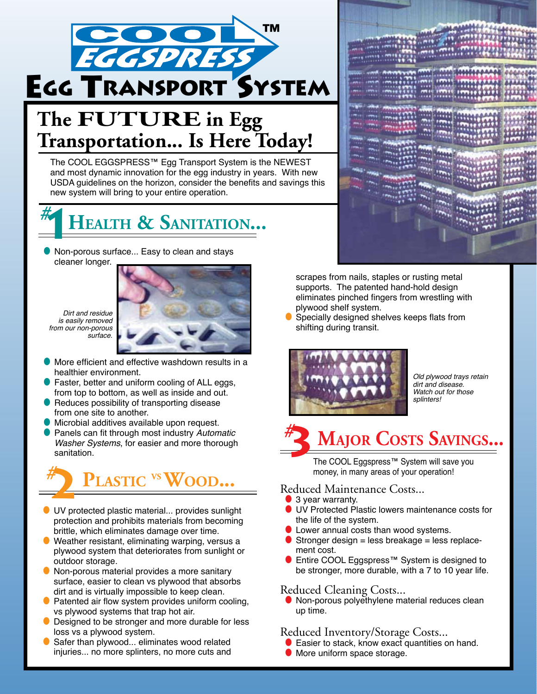

# The **FUTURE** in Egg **Transportation... Is Here Today!**

The COOL EGGSPRESS™ Egg Transport System is the NEWEST and most dynamic innovation for the egg industry in years. With new USDA guidelines on the horizon, consider the benefits and savings this new system will bring to your entire operation.



● Non-porous surface... Easy to clean and stays cleaner longer.

Dirt and residue is easily removed from our non-porous surface.



More efficient and effective washdown results in a healthier environment.

- Faster, better and uniform cooling of ALL eggs, from top to bottom, as well as inside and out.
- Reduces possibility of transporting disease from one site to another.
- Microbial additives available upon request.
- Panels can fit through most industry Automatic Washer Systems, for easier and more thorough sanitation.

# **PLASTIC** VS **WOOD...**<br> **2** money, in many areas of your operation!<br> **2** a year warranty.

- UV protected plastic material... provides sunlight protection and prohibits materials from becoming brittle, which eliminates damage over time.
- Weather resistant, eliminating warping, versus a plywood system that deteriorates from sunlight or outdoor storage.
- Non-porous material provides a more sanitary surface, easier to clean vs plywood that absorbs dirt and is virtually impossible to keep clean.
- Patented air flow system provides uniform cooling, vs plywood systems that trap hot air.
- Designed to be stronger and more durable for less loss vs a plywood system.
- Safer than plywood... eliminates wood related injuries... no more splinters, no more cuts and



scrapes from nails, staples or rusting metal supports. The patented hand-hold design eliminates pinched fingers from wrestling with plywood shelf system.

Specially designed shelves keeps flats from shifting during transit.



Old plywood trays retain dirt and disease. Watch out for those splinters!

## **Major Costs Savings...** *#* **3**

The COOL Eggspress™ System will save you

#### Reduced Maintenance Costs...

- 3 year warranty.
- UV Protected Plastic lowers maintenance costs for the life of the system.
- **I** Lower annual costs than wood systems.
- Stronger design = less breakage = less replacement cost.
- Entire COOL Eggspress<sup>™</sup> System is designed to be stronger, more durable, with a 7 to 10 year life.

#### Reduced Cleaning Costs...

● Non-porous polyethylene material reduces clean up time.

#### Reduced Inventory/Storage Costs...

- **Easier to stack, know exact quantities on hand.**
- More uniform space storage.